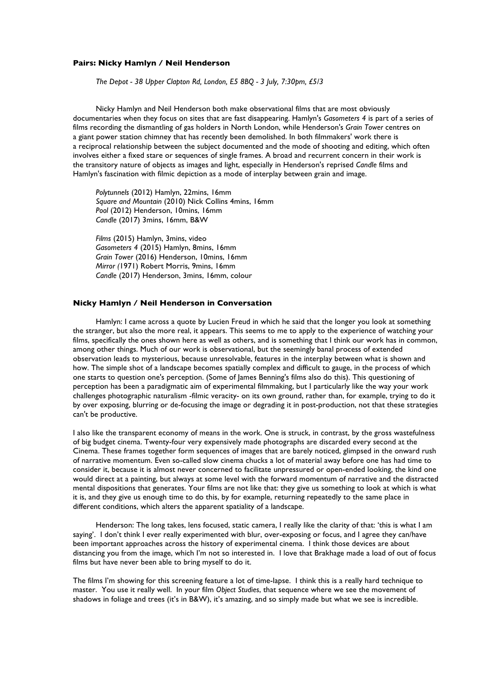## **Pairs: Nicky Hamlyn / Neil Henderson**

*The Depot - 38 Upper Clapton Rd, London, E5 8BQ - 3 July, 7:30pm, £5/3*

Nicky Hamlyn and Neil Henderson both make observational films that are most obviously documentaries when they focus on sites that are fast disappearing. Hamlyn's *Gasometers 4* is part of a series of films recording the dismantling of gas holders in North London, while Henderson's *Grain Tower* centres on a giant power station chimney that has recently been demolished. In both filmmakers' work there is a reciprocal relationship between the subject documented and the mode of shooting and editing, which often involves either a fixed stare or sequences of single frames. A broad and recurrent concern in their work is the transitory nature of objects as images and light, especially in Henderson's reprised *Candle* films and Hamlyn's fascination with filmic depiction as a mode of interplay between grain and image.

*Polytunnels* (2012) Hamlyn, 22mins, 16mm *Square and Mountain* (2010) Nick Collins 4mins, 16mm *Pool* (2012) Henderson, 10mins, 16mm *Candle* (2017) 3mins, 16mm, B&W

*Films* (2015) Hamlyn, 3mins, video *Gasometers 4* (2015) Hamlyn, 8mins, 16mm *Grain Tower* (2016) Henderson, 10mins, 16mm *Mirror (*1971) Robert Morris, 9mins, 16mm *Candle* (2017) Henderson, 3mins, 16mm, colour

## **Nicky Hamlyn / Neil Henderson in Conversation**

Hamlyn: I came across a quote by Lucien Freud in which he said that the longer you look at something the stranger, but also the more real, it appears. This seems to me to apply to the experience of watching your films, specifically the ones shown here as well as others, and is something that I think our work has in common, among other things. Much of our work is observational, but the seemingly banal process of extended observation leads to mysterious, because unresolvable, features in the interplay between what is shown and how. The simple shot of a landscape becomes spatially complex and difficult to gauge, in the process of which one starts to question one's perception. (Some of James Benning's films also do this). This questioning of perception has been a paradigmatic aim of experimental filmmaking, but I particularly like the way your work challenges photographic naturalism -filmic veracity- on its own ground, rather than, for example, trying to do it by over exposing, blurring or de-focusing the image or degrading it in post-production, not that these strategies can't be productive.

I also like the transparent economy of means in the work. One is struck, in contrast, by the gross wastefulness of big budget cinema. Twenty-four very expensively made photographs are discarded every second at the Cinema. These frames together form sequences of images that are barely noticed, glimpsed in the onward rush of narrative momentum. Even so-called slow cinema chucks a lot of material away before one has had time to consider it, because it is almost never concerned to facilitate unpressured or open-ended looking, the kind one would direct at a painting, but always at some level with the forward momentum of narrative and the distracted mental dispositions that generates. Your films are not like that: they give us something to look at which is what it is, and they give us enough time to do this, by for example, returning repeatedly to the same place in different conditions, which alters the apparent spatiality of a landscape.

Henderson: The long takes, lens focused, static camera, I really like the clarity of that: 'this is what I am saying'. I don't think I ever really experimented with blur, over-exposing or focus, and I agree they can/have been important approaches across the history of experimental cinema. I think those devices are about distancing you from the image, which I'm not so interested in. I love that Brakhage made a load of out of focus films but have never been able to bring myself to do it.

The films I'm showing for this screening feature a lot of time-lapse. I think this is a really hard technique to master. You use it really well. In your film *Object Studies*, that sequence where we see the movement of shadows in foliage and trees (it's in B&W), it's amazing, and so simply made but what we see is incredible.